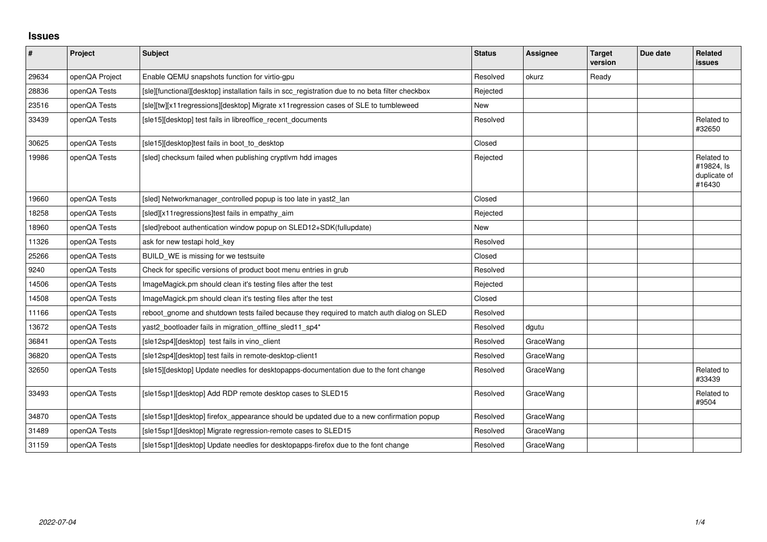## **Issues**

| $\vert$ # | Project        | <b>Subject</b>                                                                                   | <b>Status</b> | Assignee  | <b>Target</b><br>version | Due date | Related<br><b>issues</b>                           |
|-----------|----------------|--------------------------------------------------------------------------------------------------|---------------|-----------|--------------------------|----------|----------------------------------------------------|
| 29634     | openQA Project | Enable QEMU snapshots function for virtio-gpu                                                    | Resolved      | okurz     | Ready                    |          |                                                    |
| 28836     | openQA Tests   | [sle][functional][desktop] installation fails in scc_registration due to no beta filter checkbox | Rejected      |           |                          |          |                                                    |
| 23516     | openQA Tests   | [sle][tw][x11regressions][desktop] Migrate x11regression cases of SLE to tumbleweed              | New           |           |                          |          |                                                    |
| 33439     | openQA Tests   | [sle15][desktop] test fails in libreoffice_recent_documents                                      | Resolved      |           |                          |          | Related to<br>#32650                               |
| 30625     | openQA Tests   | [sle15][desktop]test fails in boot_to_desktop                                                    | Closed        |           |                          |          |                                                    |
| 19986     | openQA Tests   | [sled] checksum failed when publishing cryptlym hdd images                                       | Rejected      |           |                          |          | Related to<br>#19824, Is<br>duplicate of<br>#16430 |
| 19660     | openQA Tests   | [sled] Networkmanager controlled popup is too late in yast2 lan                                  | Closed        |           |                          |          |                                                    |
| 18258     | openQA Tests   | [sled][x11 regressions]test fails in empathy_aim                                                 | Rejected      |           |                          |          |                                                    |
| 18960     | openQA Tests   | [sled]reboot authentication window popup on SLED12+SDK(fullupdate)                               | <b>New</b>    |           |                          |          |                                                    |
| 11326     | openQA Tests   | ask for new testapi hold_key                                                                     | Resolved      |           |                          |          |                                                    |
| 25266     | openQA Tests   | BUILD_WE is missing for we testsuite                                                             | Closed        |           |                          |          |                                                    |
| 9240      | openQA Tests   | Check for specific versions of product boot menu entries in grub                                 | Resolved      |           |                          |          |                                                    |
| 14506     | openQA Tests   | ImageMagick.pm should clean it's testing files after the test                                    | Rejected      |           |                          |          |                                                    |
| 14508     | openQA Tests   | ImageMagick.pm should clean it's testing files after the test                                    | Closed        |           |                          |          |                                                    |
| 11166     | openQA Tests   | reboot_gnome and shutdown tests failed because they required to match auth dialog on SLED        | Resolved      |           |                          |          |                                                    |
| 13672     | openQA Tests   | yast2_bootloader fails in migration_offline_sled11_sp4*                                          | Resolved      | dgutu     |                          |          |                                                    |
| 36841     | openQA Tests   | [sle12sp4][desktop] test fails in vino_client                                                    | Resolved      | GraceWang |                          |          |                                                    |
| 36820     | openQA Tests   | [sle12sp4][desktop] test fails in remote-desktop-client1                                         | Resolved      | GraceWang |                          |          |                                                    |
| 32650     | openQA Tests   | [sle15][desktop] Update needles for desktopapps-documentation due to the font change             | Resolved      | GraceWang |                          |          | Related to<br>#33439                               |
| 33493     | openQA Tests   | [sle15sp1][desktop] Add RDP remote desktop cases to SLED15                                       | Resolved      | GraceWang |                          |          | Related to<br>#9504                                |
| 34870     | openQA Tests   | [sle15sp1][desktop] firefox_appearance should be updated due to a new confirmation popup         | Resolved      | GraceWang |                          |          |                                                    |
| 31489     | openQA Tests   | [sle15sp1][desktop] Migrate regression-remote cases to SLED15                                    | Resolved      | GraceWang |                          |          |                                                    |
| 31159     | openQA Tests   | [sle15sp1][desktop] Update needles for desktopapps-firefox due to the font change                | Resolved      | GraceWang |                          |          |                                                    |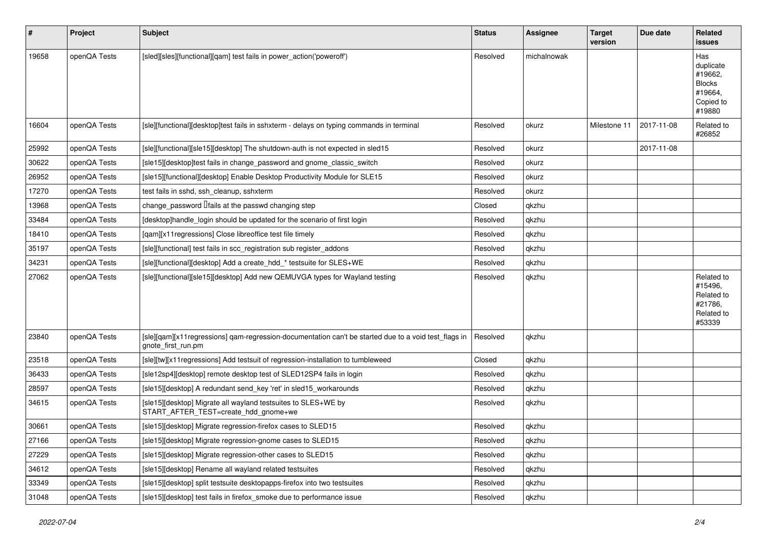| $\vert$ # | Project      | Subject                                                                                                                    | <b>Status</b> | <b>Assignee</b> | <b>Target</b><br>version | Due date   | Related<br><b>issues</b>                                                       |
|-----------|--------------|----------------------------------------------------------------------------------------------------------------------------|---------------|-----------------|--------------------------|------------|--------------------------------------------------------------------------------|
| 19658     | openQA Tests | [sled][sles][functional][qam] test fails in power_action('poweroff')                                                       | Resolved      | michalnowak     |                          |            | Has<br>duplicate<br>#19662,<br><b>Blocks</b><br>#19664,<br>Copied to<br>#19880 |
| 16604     | openQA Tests | [sle][functional][desktop]test fails in sshxterm - delays on typing commands in terminal                                   | Resolved      | okurz           | Milestone 11             | 2017-11-08 | Related to<br>#26852                                                           |
| 25992     | openQA Tests | [sle][functional][sle15][desktop] The shutdown-auth is not expected in sled15                                              | Resolved      | okurz           |                          | 2017-11-08 |                                                                                |
| 30622     | openQA Tests | [sle15][desktop]test fails in change password and gnome classic switch                                                     | Resolved      | okurz           |                          |            |                                                                                |
| 26952     | openQA Tests | [sle15][functional][desktop] Enable Desktop Productivity Module for SLE15                                                  | Resolved      | okurz           |                          |            |                                                                                |
| 17270     | openQA Tests | test fails in sshd, ssh cleanup, sshxterm                                                                                  | Resolved      | okurz           |                          |            |                                                                                |
| 13968     | openQA Tests | change password <i>Ifails</i> at the passwd changing step                                                                  | Closed        | qkzhu           |                          |            |                                                                                |
| 33484     | openQA Tests | [desktop]handle_login should be updated for the scenario of first login                                                    | Resolved      | qkzhu           |                          |            |                                                                                |
| 18410     | openQA Tests | [qam][x11 regressions] Close libreoffice test file timely                                                                  | Resolved      | qkzhu           |                          |            |                                                                                |
| 35197     | openQA Tests | [sle][functional] test fails in scc_registration sub register_addons                                                       | Resolved      | qkzhu           |                          |            |                                                                                |
| 34231     | openQA Tests | [sle][functional][desktop] Add a create hdd * testsuite for SLES+WE                                                        | Resolved      | qkzhu           |                          |            |                                                                                |
| 27062     | openQA Tests | [sle][functional][sle15][desktop] Add new QEMUVGA types for Wayland testing                                                | Resolved      | qkzhu           |                          |            | Related to<br>#15496,<br>Related to<br>#21786,<br>Related to<br>#53339         |
| 23840     | openQA Tests | [sle][qam][x11regressions] qam-regression-documentation can't be started due to a void test_flags in<br>gnote first run.pm | Resolved      | qkzhu           |                          |            |                                                                                |
| 23518     | openQA Tests | [sle][tw][x11regressions] Add testsuit of regression-installation to tumbleweed                                            | Closed        | qkzhu           |                          |            |                                                                                |
| 36433     | openQA Tests | [sle12sp4][desktop] remote desktop test of SLED12SP4 fails in login                                                        | Resolved      | qkzhu           |                          |            |                                                                                |
| 28597     | openQA Tests | [sle15][desktop] A redundant send_key 'ret' in sled15_workarounds                                                          | Resolved      | qkzhu           |                          |            |                                                                                |
| 34615     | openQA Tests | [sle15][desktop] Migrate all wayland testsuites to SLES+WE by<br>START_AFTER_TEST=create_hdd_gnome+we                      | Resolved      | qkzhu           |                          |            |                                                                                |
| 30661     | openQA Tests | [sle15][desktop] Migrate regression-firefox cases to SLED15                                                                | Resolved      | qkzhu           |                          |            |                                                                                |
| 27166     | openQA Tests | [sle15][desktop] Migrate regression-gnome cases to SLED15                                                                  | Resolved      | qkzhu           |                          |            |                                                                                |
| 27229     | openQA Tests | [sle15][desktop] Migrate regression-other cases to SLED15                                                                  | Resolved      | qkzhu           |                          |            |                                                                                |
| 34612     | openQA Tests | [sle15][desktop] Rename all wayland related testsuites                                                                     | Resolved      | qkzhu           |                          |            |                                                                                |
| 33349     | openQA Tests | [sle15][desktop] split testsuite desktopapps-firefox into two testsuites                                                   | Resolved      | qkzhu           |                          |            |                                                                                |
| 31048     | openQA Tests | [sle15][desktop] test fails in firefox_smoke due to performance issue                                                      | Resolved      | qkzhu           |                          |            |                                                                                |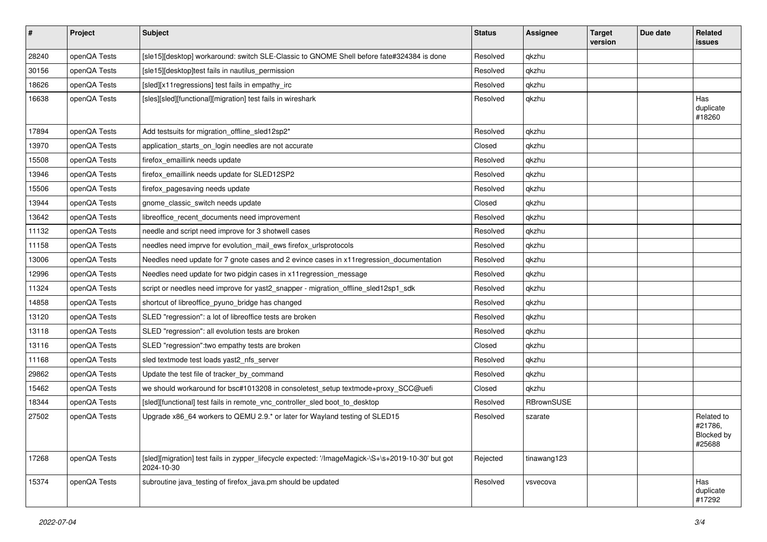| #     | Project      | Subject                                                                                                          | <b>Status</b> | Assignee          | <b>Target</b><br>version | Due date | Related<br>issues                             |
|-------|--------------|------------------------------------------------------------------------------------------------------------------|---------------|-------------------|--------------------------|----------|-----------------------------------------------|
| 28240 | openQA Tests | [sle15][desktop] workaround: switch SLE-Classic to GNOME Shell before fate#324384 is done                        | Resolved      | qkzhu             |                          |          |                                               |
| 30156 | openQA Tests | [sle15][desktop]test fails in nautilus permission                                                                | Resolved      | qkzhu             |                          |          |                                               |
| 18626 | openQA Tests | [sled][x11 regressions] test fails in empathy_irc                                                                | Resolved      | qkzhu             |                          |          |                                               |
| 16638 | openQA Tests | [sles][sled][functional][migration] test fails in wireshark                                                      | Resolved      | qkzhu             |                          |          | Has<br>duplicate<br>#18260                    |
| 17894 | openQA Tests | Add testsuits for migration_offline_sled12sp2*                                                                   | Resolved      | qkzhu             |                          |          |                                               |
| 13970 | openQA Tests | application_starts_on_login needles are not accurate                                                             | Closed        | qkzhu             |                          |          |                                               |
| 15508 | openQA Tests | firefox_emaillink needs update                                                                                   | Resolved      | qkzhu             |                          |          |                                               |
| 13946 | openQA Tests | firefox_emaillink needs update for SLED12SP2                                                                     | Resolved      | qkzhu             |                          |          |                                               |
| 15506 | openQA Tests | firefox_pagesaving needs update                                                                                  | Resolved      | qkzhu             |                          |          |                                               |
| 13944 | openQA Tests | gnome classic switch needs update                                                                                | Closed        | qkzhu             |                          |          |                                               |
| 13642 | openQA Tests | libreoffice recent documents need improvement                                                                    | Resolved      | qkzhu             |                          |          |                                               |
| 11132 | openQA Tests | needle and script need improve for 3 shotwell cases                                                              | Resolved      | qkzhu             |                          |          |                                               |
| 11158 | openQA Tests | needles need imprve for evolution mail ews firefox urlsprotocols                                                 | Resolved      | qkzhu             |                          |          |                                               |
| 13006 | openQA Tests | Needles need update for 7 gnote cases and 2 evince cases in x11 regression_documentation                         | Resolved      | qkzhu             |                          |          |                                               |
| 12996 | openQA Tests | Needles need update for two pidgin cases in x11 regression message                                               | Resolved      | qkzhu             |                          |          |                                               |
| 11324 | openQA Tests | script or needles need improve for yast2 snapper - migration offline sled12sp1 sdk                               | Resolved      | qkzhu             |                          |          |                                               |
| 14858 | openQA Tests | shortcut of libreoffice_pyuno_bridge has changed                                                                 | Resolved      | qkzhu             |                          |          |                                               |
| 13120 | openQA Tests | SLED "regression": a lot of libreoffice tests are broken                                                         | Resolved      | qkzhu             |                          |          |                                               |
| 13118 | openQA Tests | SLED "regression": all evolution tests are broken                                                                | Resolved      | qkzhu             |                          |          |                                               |
| 13116 | openQA Tests | SLED "regression": two empathy tests are broken                                                                  | Closed        | qkzhu             |                          |          |                                               |
| 11168 | openQA Tests | sled textmode test loads yast2 nfs server                                                                        | Resolved      | qkzhu             |                          |          |                                               |
| 29862 | openQA Tests | Update the test file of tracker_by_command                                                                       | Resolved      | qkzhu             |                          |          |                                               |
| 15462 | openQA Tests | we should workaround for bsc#1013208 in consoletest_setup textmode+proxy_SCC@uefi                                | Closed        | qkzhu             |                          |          |                                               |
| 18344 | openQA Tests | [sled][functional] test fails in remote_vnc_controller_sled boot_to_desktop                                      | Resolved      | <b>RBrownSUSE</b> |                          |          |                                               |
| 27502 | openQA Tests | Upgrade x86_64 workers to QEMU 2.9.* or later for Wayland testing of SLED15                                      | Resolved      | szarate           |                          |          | Related to<br>#21786,<br>Blocked by<br>#25688 |
| 17268 | openQA Tests | [sled][migration] test fails in zypper_lifecycle expected: '/ImageMagick-\S+\s+2019-10-30' but got<br>2024-10-30 | Rejected      | tinawang123       |                          |          |                                               |
| 15374 | openQA Tests | subroutine java_testing of firefox_java.pm should be updated                                                     | Resolved      | vsvecova          |                          |          | Has<br>duplicate<br>#17292                    |